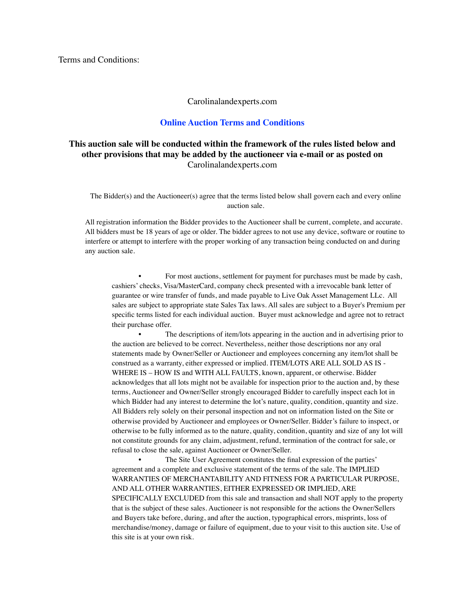Terms and Conditions:

#### Carolinalandexperts.com

### **Online Auction Terms and Conditions**

# **This auction sale will be conducted within the framework of the rules listed below and other provisions that may be added by the auctioneer via e-mail or as posted on**  Carolinalandexperts.com

The Bidder(s) and the Auctioneer(s) agree that the terms listed below shall govern each and every online auction sale.

All registration information the Bidder provides to the Auctioneer shall be current, complete, and accurate. All bidders must be 18 years of age or older. The bidder agrees to not use any device, software or routine to interfere or attempt to interfere with the proper working of any transaction being conducted on and during any auction sale.

• For most auctions, settlement for payment for purchases must be made by cash, cashiers' checks, Visa/MasterCard, company check presented with a irrevocable bank letter of guarantee or wire transfer of funds, and made payable to Live Oak Asset Management LLc. All sales are subject to appropriate state Sales Tax laws. All sales are subject to a Buyer's Premium per specific terms listed for each individual auction. Buyer must acknowledge and agree not to retract their purchase offer.

The descriptions of item/lots appearing in the auction and in advertising prior to the auction are believed to be correct. Nevertheless, neither those descriptions nor any oral statements made by Owner/Seller or Auctioneer and employees concerning any item/lot shall be construed as a warranty, either expressed or implied. ITEM/LOTS ARE ALL SOLD AS IS - WHERE IS – HOW IS and WITH ALL FAULTS, known, apparent, or otherwise. Bidder acknowledges that all lots might not be available for inspection prior to the auction and, by these terms, Auctioneer and Owner/Seller strongly encouraged Bidder to carefully inspect each lot in which Bidder had any interest to determine the lot's nature, quality, condition, quantity and size. All Bidders rely solely on their personal inspection and not on information listed on the Site or otherwise provided by Auctioneer and employees or Owner/Seller. Bidder's failure to inspect, or otherwise to be fully informed as to the nature, quality, condition, quantity and size of any lot will not constitute grounds for any claim, adjustment, refund, termination of the contract for sale, or refusal to close the sale, against Auctioneer or Owner/Seller.

The Site User Agreement constitutes the final expression of the parties' agreement and a complete and exclusive statement of the terms of the sale. The IMPLIED WARRANTIES OF MERCHANTABILITY AND FITNESS FOR A PARTICULAR PURPOSE, AND ALL OTHER WARRANTIES, EITHER EXPRESSED OR IMPLIED, ARE SPECIFICALLY EXCLUDED from this sale and transaction and shall NOT apply to the property that is the subject of these sales. Auctioneer is not responsible for the actions the Owner/Sellers and Buyers take before, during, and after the auction, typographical errors, misprints, loss of merchandise/money, damage or failure of equipment, due to your visit to this auction site. Use of this site is at your own risk.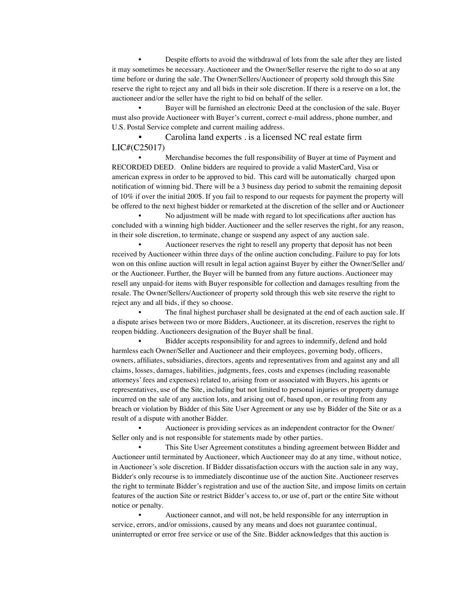• Despite efforts to avoid the withdrawal of lots from the sale after they are listed it may sometimes be necessary. Auctioneer and the Owner/Seller reserve the right to do so at any time before or during the sale. The Owner/Sellers/Auctioneer of property sold through this Site reserve the right to reject any and all bids in their sole discretion. If there is a reserve on a lot, the auctioneer and/or the seller have the right to bid on behalf of the seller.

Buyer will be furnished an electronic Deed at the conclusion of the sale. Buyer must also provide Auctioneer with Buyer's current, correct e-mail address, phone number, and U.S. Postal Service complete and current mailing address.

• Carolina land experts . is a licensed NC real estate firm LIC#(C25017)

• Merchandise becomes the full responsibility of Buyer at time of Payment and RECORDED DEED. Online bidders are required to provide a valid MasterCard, Visa or american express in order to be approved to bid. This card will be automatically charged upon notification of winning bid. There will be a 3 business day period to submit the remaining deposit of 10% if over the initial 200\$. If you fail to respond to our requests for payment the property will be offered to the next highest bidder or remarketed at the discretion of the seller and or Auctioneer

• No adjustment will be made with regard to lot specifications after auction has concluded with a winning high bidder. Auctioneer and the seller reserves the right, for any reason, in their sole discretion, to terminate, change or suspend any aspect of any auction sale.

• Auctioneer reserves the right to resell any property that deposit has not been received by Auctioneer within three days of the online auction concluding. Failure to pay for lots won on this online auction will result in legal action against Buyer by either the Owner/Seller and/ or the Auctioneer. Further, the Buyer will be banned from any future auctions. Auctioneer may resell any unpaid-for items with Buyer responsible for collection and damages resulting from the resale. The Owner/Sellers/Auctioneer of property sold through this web site reserve the right to reject any and all bids, if they so choose.

The final highest purchaser shall be designated at the end of each auction sale. If a dispute arises between two or more Bidders, Auctioneer, at its discretion, reserves the right to reopen bidding. Auctioneers designation of the Buyer shall be final.

• Bidder accepts responsibility for and agrees to indemnify, defend and hold harmless each Owner/Seller and Auctioneer and their employees, governing body, officers, owners, affiliates, subsidiaries, directors, agents and representatives from and against any and all claims, losses, damages, liabilities, judgments, fees, costs and expenses (including reasonable attorneys' fees and expenses) related to, arising from or associated with Buyers, his agents or representatives, use of the Site, including but not limited to personal injuries or property damage incurred on the sale of any auction lots, and arising out of, based upon, or resulting from any breach or violation by Bidder of this Site User Agreement or any use by Bidder of the Site or as a result of a dispute with another Bidder.

• Auctioneer is providing services as an independent contractor for the Owner/ Seller only and is not responsible for statements made by other parties.

This Site User Agreement constitutes a binding agreement between Bidder and Auctioneer until terminated by Auctioneer, which Auctioneer may do at any time, without notice, in Auctioneer's sole discretion. If Bidder dissatisfaction occurs with the auction sale in any way, Bidder's only recourse is to immediately discontinue use of the auction Site. Auctioneer reserves the right to terminate Bidder's registration and use of the auction Site, and impose limits on certain features of the auction Site or restrict Bidder's access to, or use of, part or the entire Site without notice or penalty.

• Auctioneer cannot, and will not, be held responsible for any interruption in service, errors, and/or omissions, caused by any means and does not guarantee continual, uninterrupted or error free service or use of the Site. Bidder acknowledges that this auction is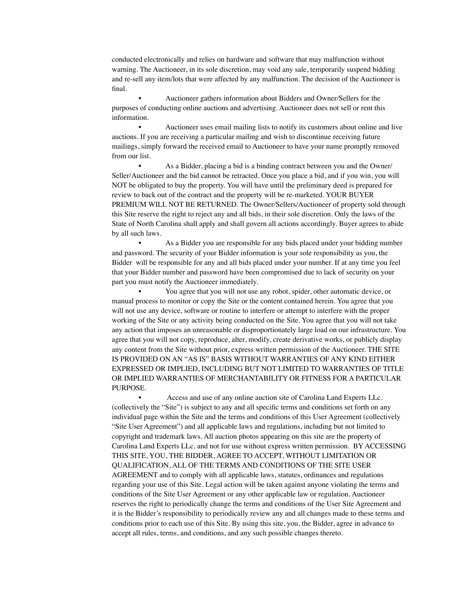conducted electronically and relies on hardware and software that may malfunction without warning. The Auctioneer, in its sole discretion, may void any sale, temporarily suspend bidding and re-sell any item/lots that were affected by any malfunction. The decision of the Auctioneer is final.

• Auctioneer gathers information about Bidders and Owner/Sellers for the purposes of conducting online auctions and advertising. Auctioneer does not sell or rent this information.

• Auctioneer uses email mailing lists to notify its customers about online and live auctions. If you are receiving a particular mailing and wish to discontinue receiving future mailings, simply forward the received email to Auctioneer to have your name promptly removed from our list.

As a Bidder, placing a bid is a binding contract between you and the Owner/ Seller/Auctioneer and the bid cannot be retracted. Once you place a bid, and if you win, you will NOT be obligated to buy the property. You will have until the preliminary deed is prepared for review to back out of the contract and the property will be re-marketed. YOUR BUYER PREMIUM WILL NOT BE RETURNED. The Owner/Sellers/Auctioneer of property sold through this Site reserve the right to reject any and all bids, in their sole discretion. Only the laws of the State of North Carolina shall apply and shall govern all actions accordingly. Buyer agrees to abide by all such laws.

As a Bidder you are responsible for any bids placed under your bidding number and password. The security of your Bidder information is your sole responsibility as you, the Bidder will be responsible for any and all bids placed under your number. If at any time you feel that your Bidder number and password have been compromised due to lack of security on your part you must notify the Auctioneer immediately.

• You agree that you will not use any robot, spider, other automatic device, or manual process to monitor or copy the Site or the content contained herein. You agree that you will not use any device, software or routine to interfere or attempt to interfere with the proper working of the Site or any activity being conducted on the Site. You agree that you will not take any action that imposes an unreasonable or disproportionately large load on our infrastructure. You agree that you will not copy, reproduce, alter, modify, create derivative works, or publicly display any content from the Site without prior, express written permission of the Auctioneer. THE SITE IS PROVIDED ON AN "AS IS" BASIS WITHOUT WARRANTIES OF ANY KIND EITHER EXPRESSED OR IMPLIED, INCLUDING BUT NOT LIMITED TO WARRANTIES OF TITLE OR IMPLIED WARRANTIES OF MERCHANTABILITY OR FITNESS FOR A PARTICULAR PURPOSE.

• Access and use of any online auction site of Carolina Land Experts LLc. (collectively the "Site") is subject to any and all specific terms and conditions set forth on any individual page within the Site and the terms and conditions of this User Agreement (collectively "Site User Agreement") and all applicable laws and regulations, including but not limited to copyright and trademark laws. All auction photos appearing on this site are the property of Carolina Land Experts LLc. and not for use without express written permission. BY ACCESSING THIS SITE, YOU, THE BIDDER, AGREE TO ACCEPT, WITHOUT LIMITATION OR QUALIFICATION, ALL OF THE TERMS AND CONDITIONS OF THE SITE USER AGREEMENT and to comply with all applicable laws, statutes, ordinances and regulations regarding your use of this Site. Legal action will be taken against anyone violating the terms and conditions of the Site User Agreement or any other applicable law or regulation. Auctioneer reserves the right to periodically change the terms and conditions of the User Site Agreement and it is the Bidder's responsibility to periodically review any and all changes made to these terms and conditions prior to each use of this Site. By using this site, you, the Bidder, agree in advance to accept all rules, terms, and conditions, and any such possible changes thereto.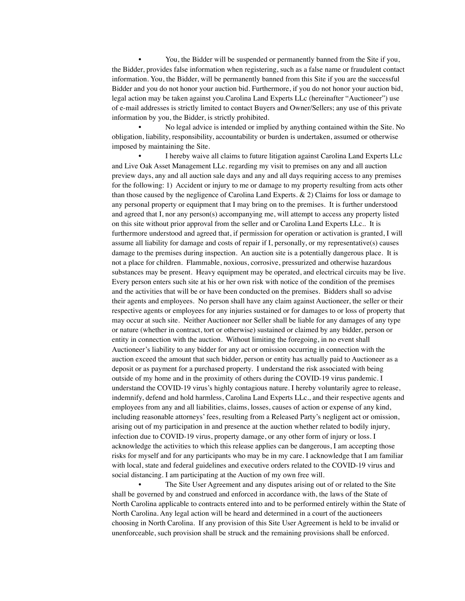• You, the Bidder will be suspended or permanently banned from the Site if you, the Bidder, provides false information when registering, such as a false name or fraudulent contact information. You, the Bidder, will be permanently banned from this Site if you are the successful Bidder and you do not honor your auction bid. Furthermore, if you do not honor your auction bid, legal action may be taken against you.Carolina Land Experts LLc (hereinafter "Auctioneer") use of e-mail addresses is strictly limited to contact Buyers and Owner/Sellers; any use of this private information by you, the Bidder, is strictly prohibited.

• No legal advice is intended or implied by anything contained within the Site. No obligation, liability, responsibility, accountability or burden is undertaken, assumed or otherwise imposed by maintaining the Site.

• I hereby waive all claims to future litigation against Carolina Land Experts LLc and Live Oak Asset Management LLc. regarding my visit to premises on any and all auction preview days, any and all auction sale days and any and all days requiring access to any premises for the following: 1) Accident or injury to me or damage to my property resulting from acts other than those caused by the negligence of Carolina Land Experts. & 2) Claims for loss or damage to any personal property or equipment that I may bring on to the premises. It is further understood and agreed that I, nor any person(s) accompanying me, will attempt to access any property listed on this site without prior approval from the seller and or Carolina Land Experts LLc.. It is furthermore understood and agreed that, if permission for operation or activation is granted, I will assume all liability for damage and costs of repair if I, personally, or my representative(s) causes damage to the premises during inspection. An auction site is a potentially dangerous place. It is not a place for children. Flammable, noxious, corrosive, pressurized and otherwise hazardous substances may be present. Heavy equipment may be operated, and electrical circuits may be live. Every person enters such site at his or her own risk with notice of the condition of the premises and the activities that will be or have been conducted on the premises. Bidders shall so advise their agents and employees. No person shall have any claim against Auctioneer, the seller or their respective agents or employees for any injuries sustained or for damages to or loss of property that may occur at such site. Neither Auctioneer nor Seller shall be liable for any damages of any type or nature (whether in contract, tort or otherwise) sustained or claimed by any bidder, person or entity in connection with the auction. Without limiting the foregoing, in no event shall Auctioneer's liability to any bidder for any act or omission occurring in connection with the auction exceed the amount that such bidder, person or entity has actually paid to Auctioneer as a deposit or as payment for a purchased property. I understand the risk associated with being outside of my home and in the proximity of others during the COVID-19 virus pandemic. I understand the COVID-19 virus's highly contagious nature. I hereby voluntarily agree to release, indemnify, defend and hold harmless, Carolina Land Experts LLc., and their respective agents and employees from any and all liabilities, claims, losses, causes of action or expense of any kind, including reasonable attorneys' fees, resulting from a Released Party's negligent act or omission, arising out of my participation in and presence at the auction whether related to bodily injury, infection due to COVID-19 virus, property damage, or any other form of injury or loss. I acknowledge the activities to which this release applies can be dangerous, I am accepting those risks for myself and for any participants who may be in my care. I acknowledge that I am familiar with local, state and federal guidelines and executive orders related to the COVID-19 virus and social distancing. I am participating at the Auction of my own free will.

The Site User Agreement and any disputes arising out of or related to the Site shall be governed by and construed and enforced in accordance with, the laws of the State of North Carolina applicable to contracts entered into and to be performed entirely within the State of North Carolina. Any legal action will be heard and determined in a court of the auctioneers choosing in North Carolina. If any provision of this Site User Agreement is held to be invalid or unenforceable, such provision shall be struck and the remaining provisions shall be enforced.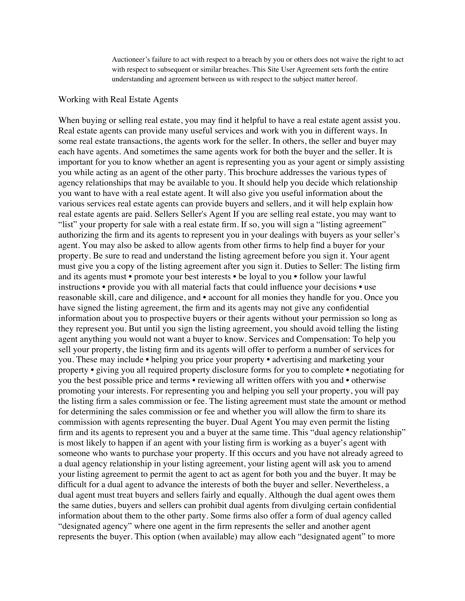Auctioneer's failure to act with respect to a breach by you or others does not waive the right to act with respect to subsequent or similar breaches. This Site User Agreement sets forth the entire understanding and agreement between us with respect to the subject matter hereof.

### Working with Real Estate Agents

When buying or selling real estate, you may find it helpful to have a real estate agent assist you. Real estate agents can provide many useful services and work with you in different ways. In some real estate transactions, the agents work for the seller. In others, the seller and buyer may each have agents. And sometimes the same agents work for both the buyer and the seller. It is important for you to know whether an agent is representing you as your agent or simply assisting you while acting as an agent of the other party. This brochure addresses the various types of agency relationships that may be available to you. It should help you decide which relationship you want to have with a real estate agent. It will also give you useful information about the various services real estate agents can provide buyers and sellers, and it will help explain how real estate agents are paid. Sellers Seller's Agent If you are selling real estate, you may want to "list" your property for sale with a real estate firm. If so, you will sign a "listing agreement" authorizing the firm and its agents to represent you in your dealings with buyers as your seller's agent. You may also be asked to allow agents from other firms to help find a buyer for your property. Be sure to read and understand the listing agreement before you sign it. Your agent must give you a copy of the listing agreement after you sign it. Duties to Seller: The listing firm and its agents must • promote your best interests • be loyal to you • follow your lawful instructions • provide you with all material facts that could influence your decisions • use reasonable skill, care and diligence, and • account for all monies they handle for you. Once you have signed the listing agreement, the firm and its agents may not give any confidential information about you to prospective buyers or their agents without your permission so long as they represent you. But until you sign the listing agreement, you should avoid telling the listing agent anything you would not want a buyer to know. Services and Compensation: To help you sell your property, the listing firm and its agents will offer to perform a number of services for you. These may include • helping you price your property • advertising and marketing your property • giving you all required property disclosure forms for you to complete • negotiating for you the best possible price and terms • reviewing all written offers with you and • otherwise promoting your interests. For representing you and helping you sell your property, you will pay the listing firm a sales commission or fee. The listing agreement must state the amount or method for determining the sales commission or fee and whether you will allow the firm to share its commission with agents representing the buyer. Dual Agent You may even permit the listing firm and its agents to represent you and a buyer at the same time. This "dual agency relationship" is most likely to happen if an agent with your listing firm is working as a buyer's agent with someone who wants to purchase your property. If this occurs and you have not already agreed to a dual agency relationship in your listing agreement, your listing agent will ask you to amend your listing agreement to permit the agent to act as agent for both you and the buyer. It may be difficult for a dual agent to advance the interests of both the buyer and seller. Nevertheless, a dual agent must treat buyers and sellers fairly and equally. Although the dual agent owes them the same duties, buyers and sellers can prohibit dual agents from divulging certain confidential information about them to the other party. Some firms also offer a form of dual agency called "designated agency" where one agent in the firm represents the seller and another agent represents the buyer. This option (when available) may allow each "designated agent" to more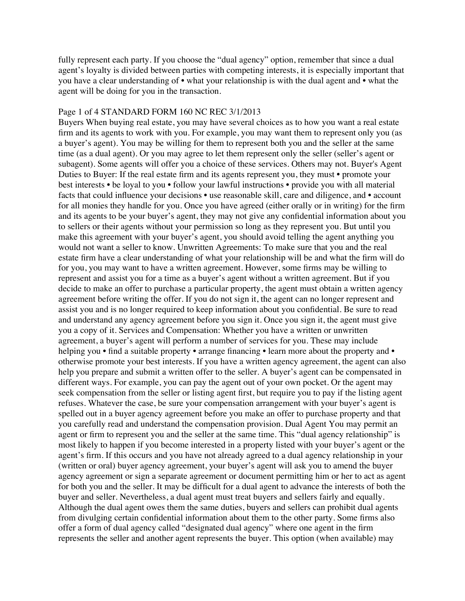fully represent each party. If you choose the "dual agency" option, remember that since a dual agent's loyalty is divided between parties with competing interests, it is especially important that you have a clear understanding of • what your relationship is with the dual agent and • what the agent will be doing for you in the transaction.

### Page 1 of 4 STANDARD FORM 160 NC REC 3/1/2013

Buyers When buying real estate, you may have several choices as to how you want a real estate firm and its agents to work with you. For example, you may want them to represent only you (as a buyer's agent). You may be willing for them to represent both you and the seller at the same time (as a dual agent). Or you may agree to let them represent only the seller (seller's agent or subagent). Some agents will offer you a choice of these services. Others may not. Buyer's Agent Duties to Buyer: If the real estate firm and its agents represent you, they must • promote your best interests • be loyal to you • follow your lawful instructions • provide you with all material facts that could influence your decisions • use reasonable skill, care and diligence, and • account for all monies they handle for you. Once you have agreed (either orally or in writing) for the firm and its agents to be your buyer's agent, they may not give any confidential information about you to sellers or their agents without your permission so long as they represent you. But until you make this agreement with your buyer's agent, you should avoid telling the agent anything you would not want a seller to know. Unwritten Agreements: To make sure that you and the real estate firm have a clear understanding of what your relationship will be and what the firm will do for you, you may want to have a written agreement. However, some firms may be willing to represent and assist you for a time as a buyer's agent without a written agreement. But if you decide to make an offer to purchase a particular property, the agent must obtain a written agency agreement before writing the offer. If you do not sign it, the agent can no longer represent and assist you and is no longer required to keep information about you confidential. Be sure to read and understand any agency agreement before you sign it. Once you sign it, the agent must give you a copy of it. Services and Compensation: Whether you have a written or unwritten agreement, a buyer's agent will perform a number of services for you. These may include helping you • find a suitable property • arrange financing • learn more about the property and • otherwise promote your best interests. If you have a written agency agreement, the agent can also help you prepare and submit a written offer to the seller. A buyer's agent can be compensated in different ways. For example, you can pay the agent out of your own pocket. Or the agent may seek compensation from the seller or listing agent first, but require you to pay if the listing agent refuses. Whatever the case, be sure your compensation arrangement with your buyer's agent is spelled out in a buyer agency agreement before you make an offer to purchase property and that you carefully read and understand the compensation provision. Dual Agent You may permit an agent or firm to represent you and the seller at the same time. This "dual agency relationship" is most likely to happen if you become interested in a property listed with your buyer's agent or the agent's firm. If this occurs and you have not already agreed to a dual agency relationship in your (written or oral) buyer agency agreement, your buyer's agent will ask you to amend the buyer agency agreement or sign a separate agreement or document permitting him or her to act as agent for both you and the seller. It may be difficult for a dual agent to advance the interests of both the buyer and seller. Nevertheless, a dual agent must treat buyers and sellers fairly and equally. Although the dual agent owes them the same duties, buyers and sellers can prohibit dual agents from divulging certain confidential information about them to the other party. Some firms also offer a form of dual agency called "designated dual agency" where one agent in the firm represents the seller and another agent represents the buyer. This option (when available) may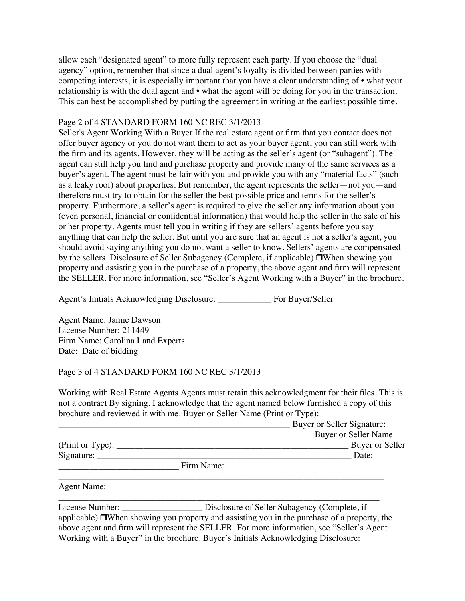allow each "designated agent" to more fully represent each party. If you choose the "dual agency" option, remember that since a dual agent's loyalty is divided between parties with competing interests, it is especially important that you have a clear understanding of • what your relationship is with the dual agent and • what the agent will be doing for you in the transaction. This can best be accomplished by putting the agreement in writing at the earliest possible time.

# Page 2 of 4 STANDARD FORM 160 NC REC 3/1/2013

Seller's Agent Working With a Buyer If the real estate agent or firm that you contact does not offer buyer agency or you do not want them to act as your buyer agent, you can still work with the firm and its agents. However, they will be acting as the seller's agent (or "subagent"). The agent can still help you find and purchase property and provide many of the same services as a buyer's agent. The agent must be fair with you and provide you with any "material facts" (such as a leaky roof) about properties. But remember, the agent represents the seller—not you—and therefore must try to obtain for the seller the best possible price and terms for the seller's property. Furthermore, a seller's agent is required to give the seller any information about you (even personal, financial or confidential information) that would help the seller in the sale of his or her property. Agents must tell you in writing if they are sellers' agents before you say anything that can help the seller. But until you are sure that an agent is not a seller's agent, you should avoid saying anything you do not want a seller to know. Sellers' agents are compensated by the sellers. Disclosure of Seller Subagency (Complete, if applicable) ❒When showing you property and assisting you in the purchase of a property, the above agent and firm will represent the SELLER. For more information, see "Seller's Agent Working with a Buyer" in the brochure.

Agent's Initials Acknowledging Disclosure: \_\_\_\_\_\_\_\_\_\_\_\_ For Buyer/Seller

Agent Name: Jamie Dawson License Number: 211449 Firm Name: Carolina Land Experts Date: Date of bidding

# Page 3 of 4 STANDARD FORM 160 NC REC 3/1/2013

Working with Real Estate Agents Agents must retain this acknowledgment for their files. This is not a contract By signing, I acknowledge that the agent named below furnished a copy of this brochure and reviewed it with me. Buyer or Seller Name (Print or Type):

|                    | Buyer or Seller Signature: |
|--------------------|----------------------------|
|                    | Buyer or Seller Name       |
|                    | Buyer or Seller            |
| Signature:         | Date:                      |
| Firm Name:         |                            |
| <b>Agent Name:</b> |                            |
|                    |                            |

License Number: \_\_\_\_\_\_\_\_\_\_\_\_\_\_\_\_\_\_ Disclosure of Seller Subagency (Complete, if applicable) ❒When showing you property and assisting you in the purchase of a property, the above agent and firm will represent the SELLER. For more information, see "Seller's Agent Working with a Buyer" in the brochure. Buyer's Initials Acknowledging Disclosure: